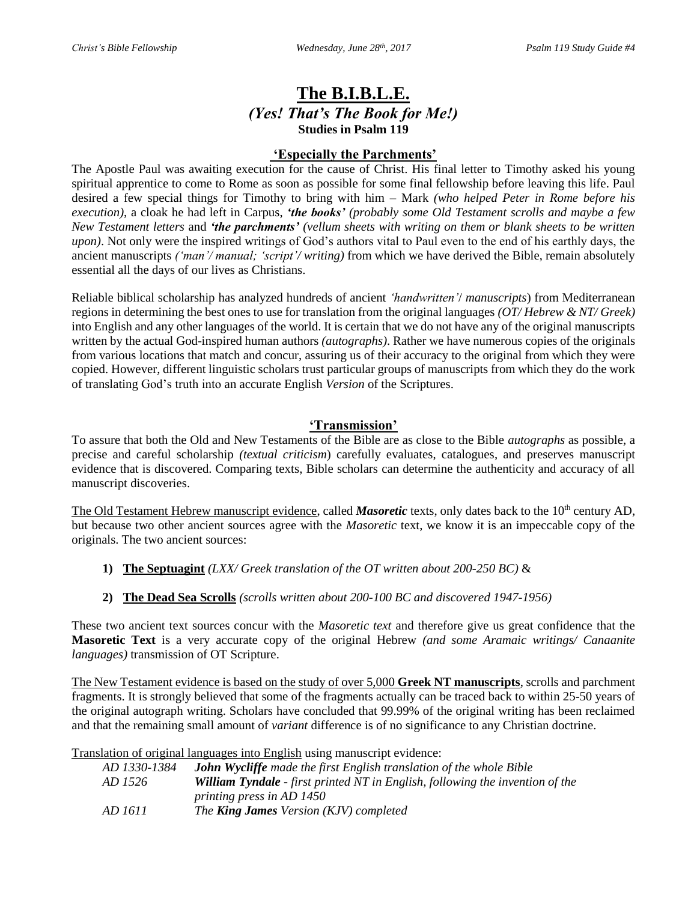# **The B.I.B.L.E.** *(Yes! That's The Book for Me!)* **Studies in Psalm 119**

### **'Especially the Parchments'**

The Apostle Paul was awaiting execution for the cause of Christ. His final letter to Timothy asked his young spiritual apprentice to come to Rome as soon as possible for some final fellowship before leaving this life. Paul desired a few special things for Timothy to bring with him – Mark *(who helped Peter in Rome before his execution)*, a cloak he had left in Carpus, *'the books' (probably some Old Testament scrolls and maybe a few New Testament letters* and *'the parchments' (vellum sheets with writing on them or blank sheets to be written upon)*. Not only were the inspired writings of God's authors vital to Paul even to the end of his earthly days, the ancient manuscripts *('man'/ manual; 'script'/ writing)* from which we have derived the Bible, remain absolutely essential all the days of our lives as Christians.

Reliable biblical scholarship has analyzed hundreds of ancient *'handwritten'*/ *manuscripts*) from Mediterranean regions in determining the best ones to use for translation from the original languages *(OT/ Hebrew & NT/ Greek)* into English and any other languages of the world. It is certain that we do not have any of the original manuscripts written by the actual God-inspired human authors *(autographs)*. Rather we have numerous copies of the originals from various locations that match and concur, assuring us of their accuracy to the original from which they were copied. However, different linguistic scholars trust particular groups of manuscripts from which they do the work of translating God's truth into an accurate English *Version* of the Scriptures.

## **'Transmission'**

To assure that both the Old and New Testaments of the Bible are as close to the Bible *autographs* as possible, a precise and careful scholarship *(textual criticism*) carefully evaluates, catalogues, and preserves manuscript evidence that is discovered. Comparing texts, Bible scholars can determine the authenticity and accuracy of all manuscript discoveries.

The Old Testament Hebrew manuscript evidence, called *Masoretic* texts, only dates back to the 10<sup>th</sup> century AD, but because two other ancient sources agree with the *Masoretic* text, we know it is an impeccable copy of the originals. The two ancient sources:

- **1) The Septuagint** *(LXX/ Greek translation of the OT written about 200-250 BC)* &
- **2) The Dead Sea Scrolls** *(scrolls written about 200-100 BC and discovered 1947-1956)*

These two ancient text sources concur with the *Masoretic text* and therefore give us great confidence that the **Masoretic Text** is a very accurate copy of the original Hebrew *(and some Aramaic writings/ Canaanite languages)* transmission of OT Scripture.

The New Testament evidence is based on the study of over 5,000 **Greek NT manuscripts**, scrolls and parchment fragments. It is strongly believed that some of the fragments actually can be traced back to within 25-50 years of the original autograph writing. Scholars have concluded that 99.99% of the original writing has been reclaimed and that the remaining small amount of *variant* difference is of no significance to any Christian doctrine.

Translation of original languages into English using manuscript evidence:

| AD 1330-1384 | <b>John Wycliffe</b> made the first English translation of the whole Bible           |
|--------------|--------------------------------------------------------------------------------------|
| AD 1526      | <b>William Tyndale</b> - first printed NT in English, following the invention of the |
|              | <i>printing press in AD 1450</i>                                                     |
| AD 1611      | The <b>King James</b> Version (KJV) completed                                        |